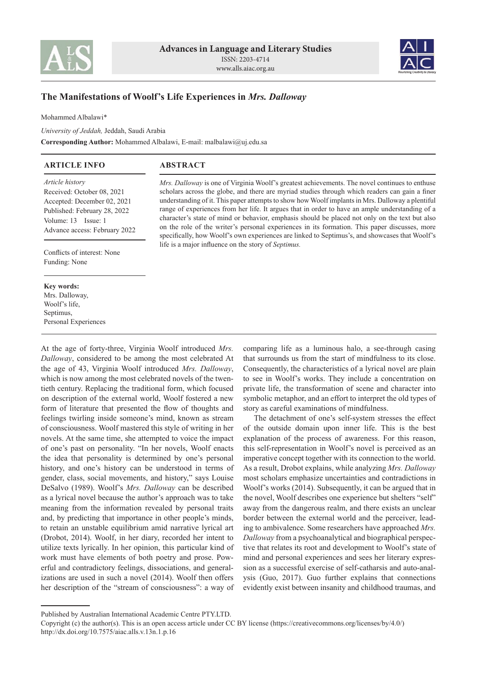



## **The Manifestations of Woolf's Life Experiences in** *Mrs. Dalloway*

Mohammed Albalawi\*

*University of Jeddah,* Jeddah, Saudi Arabia **Corresponding Author:** Mohammed Albalawi, E-mail: malbalawi@uj.edu.sa

## **ABSTRACT ARTICLE INFO**

*Article history* Received: October 08, 2021 Accepted: December 02, 2021 Published: February 28, 2022 Volume: 13 Issue: 1 Advance access: February 2022

Conflicts of interest: None Funding: None

## **Key words:**

Mrs. Dalloway, Woolf's life, Septimus, Personal Experiences

At the age of forty-three, Virginia Woolf introduced *Mrs. Dalloway*, considered to be among the most celebrated At the age of 43, Virginia Woolf introduced *Mrs. Dalloway*, which is now among the most celebrated novels of the twentieth century. Replacing the traditional form, which focused on description of the external world, Woolf fostered a new form of literature that presented the flow of thoughts and feelings twirling inside someone's mind, known as stream of consciousness. Woolf mastered this style of writing in her novels. At the same time, she attempted to voice the impact of one's past on personality. "In her novels, Woolf enacts the idea that personality is determined by one's personal history, and one's history can be understood in terms of gender, class, social movements, and history," says Louise DeSalvo (1989). Woolf's *Mrs. Dalloway* can be described as a lyrical novel because the author's approach was to take meaning from the information revealed by personal traits and, by predicting that importance in other people's minds, to retain an unstable equilibrium amid narrative lyrical art (Drobot, 2014). Woolf, in her diary, recorded her intent to utilize texts lyrically. In her opinion, this particular kind of work must have elements of both poetry and prose. Powerful and contradictory feelings, dissociations, and generalizations are used in such a novel (2014). Woolf then offers her description of the "stream of consciousness": a way of

*Mrs. Dalloway* is one of Virginia Woolf's greatest achievements. The novel continues to enthuse scholars across the globe, and there are myriad studies through which readers can gain a finer understanding of it. This paper attempts to show how Woolf implants in Mrs. Dalloway a plentiful range of experiences from her life. It argues that in order to have an ample understanding of a character's state of mind or behavior, emphasis should be placed not only on the text but also on the role of the writer's personal experiences in its formation. This paper discusses, more specifically, how Woolf's own experiences are linked to Septimus's, and showcases that Woolf's life is a major influence on the story of *Septimus.*

> comparing life as a luminous halo, a see-through casing that surrounds us from the start of mindfulness to its close. Consequently, the characteristics of a lyrical novel are plain to see in Woolf's works. They include a concentration on private life, the transformation of scene and character into symbolic metaphor, and an effort to interpret the old types of story as careful examinations of mindfulness.

> The detachment of one's self-system stresses the effect of the outside domain upon inner life. This is the best explanation of the process of awareness. For this reason, this self-representation in Woolf's novel is perceived as an imperative concept together with its connection to the world. As a result, Drobot explains, while analyzing *Mrs. Dalloway* most scholars emphasize uncertainties and contradictions in Woolf's works (2014). Subsequently, it can be argued that in the novel, Woolf describes one experience but shelters "self" away from the dangerous realm, and there exists an unclear border between the external world and the perceiver, leading to ambivalence. Some researchers have approached *Mrs. Dalloway* from a psychoanalytical and biographical perspective that relates its root and development to Woolf's state of mind and personal experiences and sees her literary expression as a successful exercise of self-catharsis and auto-analysis (Guo, 2017). Guo further explains that connections evidently exist between insanity and childhood traumas, and

Published by Australian International Academic Centre PTY.LTD.

Copyright (c) the author(s). This is an open access article under CC BY license (https://creativecommons.org/licenses/by/4.0/) http://dx.doi.org/10.7575/aiac.alls.v.13n.1.p.16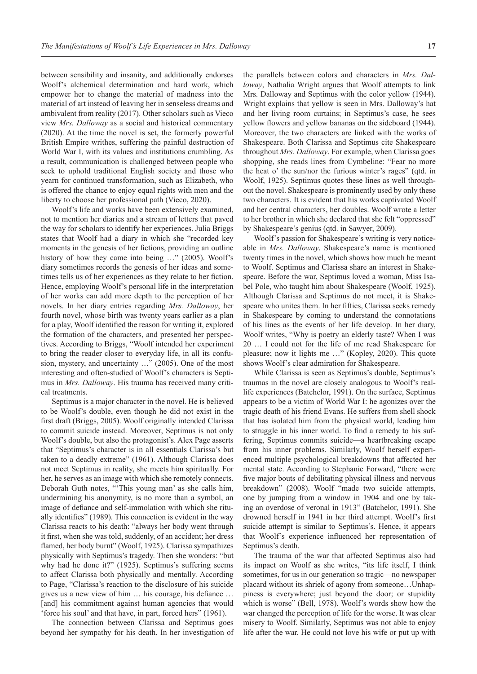between sensibility and insanity, and additionally endorses Woolf's alchemical determination and hard work, which empower her to change the material of madness into the material of art instead of leaving her in senseless dreams and ambivalent from reality (2017). Other scholars such as Vieco view *Mrs. Dalloway* as a social and historical commentary (2020). At the time the novel is set, the formerly powerful British Empire writhes, suffering the painful destruction of World War I, with its values and institutions crumbling. As a result, communication is challenged between people who seek to uphold traditional English society and those who yearn for continued transformation, such as Elizabeth, who is offered the chance to enjoy equal rights with men and the liberty to choose her professional path (Vieco, 2020).

Woolf's life and works have been extensively examined, not to mention her diaries and a stream of letters that paved the way for scholars to identify her experiences. Julia Briggs states that Woolf had a diary in which she "recorded key moments in the genesis of her fictions, providing an outline history of how they came into being ..." (2005). Woolf's diary sometimes records the genesis of her ideas and sometimes tells us of her experiences as they relate to her fiction. Hence, employing Woolf's personal life in the interpretation of her works can add more depth to the perception of her novels. In her diary entries regarding *Mrs. Dalloway*, her fourth novel, whose birth was twenty years earlier as a plan for a play, Woolf identified the reason for writing it, explored the formation of the characters, and presented her perspectives. According to Briggs, "Woolf intended her experiment to bring the reader closer to everyday life, in all its confusion, mystery, and uncertainty …" (2005). One of the most interesting and often-studied of Woolf's characters is Septimus in *Mrs. Dalloway*. His trauma has received many critical treatments.

Septimus is a major character in the novel. He is believed to be Woolf's double, even though he did not exist in the first draft (Briggs, 2005). Woolf originally intended Clarissa to commit suicide instead. Moreover, Septimus is not only Woolf's double, but also the protagonist's. Alex Page asserts that "Septimus's character is in all essentials Clarissa's but taken to a deadly extreme" (1961). Although Clarissa does not meet Septimus in reality, she meets him spiritually. For her, he serves as an image with which she remotely connects. Deborah Guth notes, "'This young man' as she calls him, undermining his anonymity, is no more than a symbol, an image of defiance and self-immolation with which she ritually identifies" (1989). This connection is evident in the way Clarissa reacts to his death: "always her body went through it first, when she was told, suddenly, of an accident; her dress flamed, her body burnt" (Woolf, 1925). Clarissa sympathizes physically with Septimus's tragedy. Then she wonders: "but why had he done it?" (1925). Septimus's suffering seems to affect Clarissa both physically and mentally. According to Page, "Clarissa's reaction to the disclosure of his suicide gives us a new view of him … his courage, his defiance … [and] his commitment against human agencies that would 'force his soul' and that have, in part, forced hers" (1961).

The connection between Clarissa and Septimus goes beyond her sympathy for his death. In her investigation of the parallels between colors and characters in *Mrs. Dalloway*, Nathalia Wright argues that Woolf attempts to link Mrs. Dalloway and Septimus with the color yellow (1944). Wright explains that yellow is seen in Mrs. Dalloway's hat and her living room curtains; in Septimus's case, he sees yellow flowers and yellow bananas on the sideboard (1944). Moreover, the two characters are linked with the works of Shakespeare. Both Clarissa and Septimus cite Shakespeare throughout *Mrs. Dalloway*. For example, when Clarissa goes shopping, she reads lines from Cymbeline: "Fear no more the heat o' the sun/nor the furious winter's rages" (qtd. in Woolf, 1925). Septimus quotes these lines as well throughout the novel. Shakespeare is prominently used by only these two characters. It is evident that his works captivated Woolf and her central characters, her doubles. Woolf wrote a letter to her brother in which she declared that she felt "oppressed" by Shakespeare's genius (qtd. in Sawyer, 2009).

Woolf's passion for Shakespeare's writing is very noticeable in *Mrs. Dalloway*. Shakespeare's name is mentioned twenty times in the novel, which shows how much he meant to Woolf. Septimus and Clarissa share an interest in Shakespeare. Before the war, Septimus loved a woman, Miss Isabel Pole, who taught him about Shakespeare (Woolf, 1925). Although Clarissa and Septimus do not meet, it is Shakespeare who unites them. In her fifties, Clarissa seeks remedy in Shakespeare by coming to understand the connotations of his lines as the events of her life develop. In her diary, Woolf writes, "Why is poetry an elderly taste? When I was 20 … I could not for the life of me read Shakespeare for pleasure; now it lights me …" (Kopley, 2020). This quote shows Woolf's clear admiration for Shakespeare.

While Clarissa is seen as Septimus's double, Septimus's traumas in the novel are closely analogous to Woolf's reallife experiences (Batchelor, 1991). On the surface, Septimus appears to be a victim of World War I: he agonizes over the tragic death of his friend Evans. He suffers from shell shock that has isolated him from the physical world, leading him to struggle in his inner world. To find a remedy to his suffering, Septimus commits suicide—a heartbreaking escape from his inner problems. Similarly, Woolf herself experienced multiple psychological breakdowns that affected her mental state. According to Stephanie Forward, "there were five major bouts of debilitating physical illness and nervous breakdown" (2008). Woolf "made two suicide attempts, one by jumping from a window in 1904 and one by taking an overdose of veronal in 1913" (Batchelor, 1991). She drowned herself in 1941 in her third attempt. Woolf's first suicide attempt is similar to Septimus's. Hence, it appears that Woolf's experience influenced her representation of Septimus's death.

The trauma of the war that affected Septimus also had its impact on Woolf as she writes, "its life itself, I think sometimes, for us in our generation so tragic—no newspaper placard without its shriek of agony from someone…Unhappiness is everywhere; just beyond the door; or stupidity which is worse" (Bell, 1978). Woolf's words show how the war changed the perception of life for the worse. It was clear misery to Woolf. Similarly, Septimus was not able to enjoy life after the war. He could not love his wife or put up with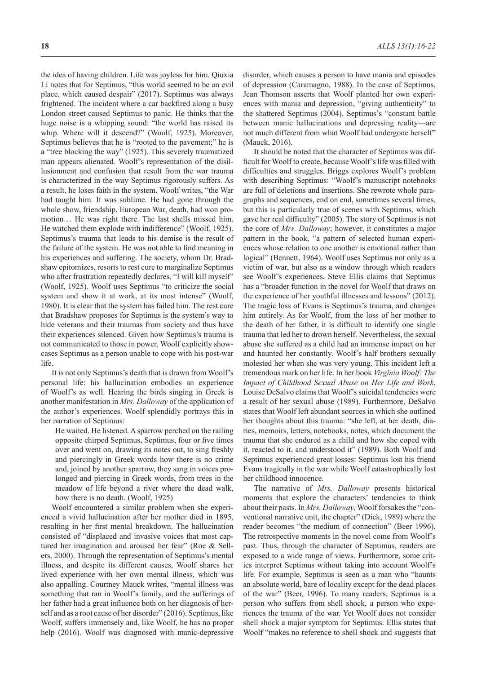the idea of having children. Life was joyless for him. Qiuxia Li notes that for Septimus, "this world seemed to be an evil place, which caused despair" (2017). Septimus was always frightened. The incident where a car backfired along a busy London street caused Septimus to panic. He thinks that the huge noise is a whipping sound: "the world has raised its whip. Where will it descend?" (Woolf, 1925). Moreover, Septimus believes that he is "rooted to the pavement;" he is a "tree blocking the way" (1925). This severely traumatized man appears alienated. Woolf's representation of the disillusionment and confusion that result from the war trauma is characterized in the way Septimus rigorously suffers. As a result, he loses faith in the system. Woolf writes, "the War had taught him. It was sublime. He had gone through the whole show, friendship, European War, death, had won promotion… He was right there. The last shells missed him. He watched them explode with indifference" (Woolf, 1925). Septimus's trauma that leads to his demise is the result of the failure of the system. He was not able to find meaning in his experiences and suffering. The society, whom Dr. Bradshaw epitomizes, resorts to rest cure to marginalize Septimus who after frustration repeatedly declares, "I will kill myself" (Woolf, 1925). Woolf uses Septimus "to criticize the social system and show it at work, at its most intense" (Woolf, 1980). It is clear that the system has failed him. The rest cure that Bradshaw proposes for Septimus is the system's way to hide veterans and their traumas from society and thus have their experiences silenced. Given how Septimus's trauma is not communicated to those in power, Woolf explicitly showcases Septimus as a person unable to cope with his post-war life.

It is not only Septimus's death that is drawn from Woolf's personal life: his hallucination embodies an experience of Woolf's as well. Hearing the birds singing in Greek is another manifestation in *Mrs. Dalloway* of the application of the author's experiences. Woolf splendidly portrays this in her narration of Septimus:

He waited. He listened. A sparrow perched on the railing opposite chirped Septimus, Septimus, four or five times over and went on, drawing its notes out, to sing freshly and piercingly in Greek words how there is no crime and, joined by another sparrow, they sang in voices prolonged and piercing in Greek words, from trees in the meadow of life beyond a river where the dead walk, how there is no death. (Woolf, 1925)

Woolf encountered a similar problem when she experienced a vivid hallucination after her mother died in 1895, resulting in her first mental breakdown. The hallucination consisted of "displaced and invasive voices that most captured her imagination and aroused her fear" (Roe & Sellers, 2000). Through the representation of Septimus's mental illness, and despite its different causes, Woolf shares her lived experience with her own mental illness, which was also appalling. Courtney Mauck writes, "mental illness was something that ran in Woolf's family, and the sufferings of her father had a great influence both on her diagnosis of herself and as a root cause of her disorder" (2016). Septimus, like Woolf, suffers immensely and, like Woolf, he has no proper help (2016). Woolf was diagnosed with manic-depressive

disorder, which causes a person to have mania and episodes of depression (Caramagno, 1988). In the case of Septimus, Jean Thomson asserts that Woolf planted her own experiences with mania and depression, "giving authenticity" to the shattered Septimus (2004). Septimus's "constant battle between manic hallucinations and depressing reality—are not much different from what Woolf had undergone herself" (Mauck, 2016).

It should be noted that the character of Septimus was difficult for Woolf to create, because Woolf's life was filled with difficulties and struggles. Briggs explores Woolf's problem with describing Septimus: "Woolf's manuscript notebooks are full of deletions and insertions. She rewrote whole paragraphs and sequences, end on end, sometimes several times, but this is particularly true of scenes with Septimus, which gave her real difficulty" (2005). The story of Septimus is not the core of *Mrs. Dalloway*; however, it constitutes a major pattern in the book, "a pattern of selected human experiences whose relation to one another is emotional rather than logical" (Bennett, 1964). Woolf uses Septimus not only as a victim of war, but also as a window through which readers see Woolf's experiences. Steve Ellis claims that Septimus has a "broader function in the novel for Woolf that draws on the experience of her youthful illnesses and lessons" (2012). The tragic loss of Evans is Septimus's trauma, and changes him entirely. As for Woolf, from the loss of her mother to the death of her father, it is difficult to identify one single trauma that led her to drown herself. Nevertheless, the sexual abuse she suffered as a child had an immense impact on her and haunted her constantly. Woolf's half brothers sexually molested her when she was very young. This incident left a tremendous mark on her life. In her book *Virginia Woolf: The Impact of Childhood Sexual Abuse on Her Life and Work*, Louise DeSalvo claims that Woolf's suicidal tendencies were a result of her sexual abuse (1989). Furthermore, DeSalvo states that Woolf left abundant sources in which she outlined her thoughts about this trauma: "she left, at her death, diaries, memoirs, letters, notebooks, notes, which document the trauma that she endured as a child and how she coped with it, reacted to it, and understood it" (1989). Both Woolf and Septimus experienced great losses: Septimus lost his friend Evans tragically in the war while Woolf catastrophically lost her childhood innocence.

The narrative of *Mrs. Dalloway* presents historical moments that explore the characters' tendencies to think about their pasts. In *Mrs. Dalloway*, Woolf forsakes the "conventional narrative unit, the chapter" (Dick, 1989) where the reader becomes "the medium of connection" (Beer 1996). The retrospective moments in the novel come from Woolf's past. Thus, through the character of Septimus, readers are exposed to a wide range of views. Furthermore, some critics interpret Septimus without taking into account Woolf's life. For example, Septimus is seen as a man who "haunts an absolute world, bare of locality except for the dead places of the war" (Beer, 1996). To many readers, Septimus is a person who suffers from shell shock, a person who experiences the trauma of the war. Yet Woolf does not consider shell shock a major symptom for Septimus. Ellis states that Woolf "makes no reference to shell shock and suggests that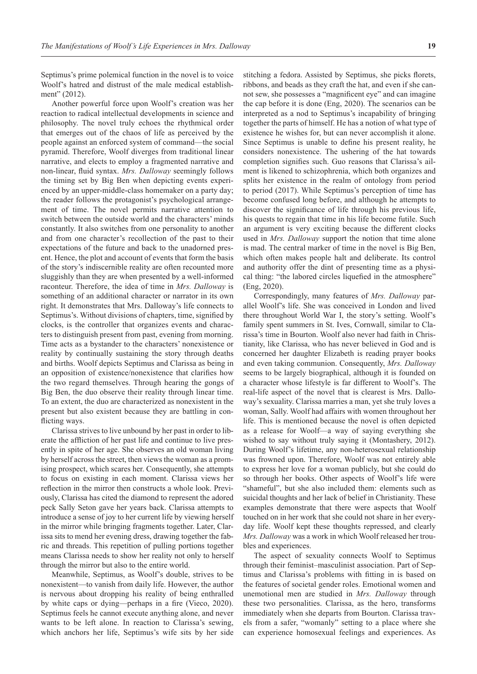Septimus's prime polemical function in the novel is to voice Woolf's hatred and distrust of the male medical establishment" (2012).

Another powerful force upon Woolf's creation was her reaction to radical intellectual developments in science and philosophy. The novel truly echoes the rhythmical order that emerges out of the chaos of life as perceived by the people against an enforced system of command—the social pyramid. Therefore, Woolf diverges from traditional linear narrative, and elects to employ a fragmented narrative and non-linear, fluid syntax. *Mrs. Dalloway* seemingly follows the timing set by Big Ben when depicting events experienced by an upper-middle-class homemaker on a party day; the reader follows the protagonist's psychological arrangement of time. The novel permits narrative attention to switch between the outside world and the characters' minds constantly. It also switches from one personality to another and from one character's recollection of the past to their expectations of the future and back to the unadorned present. Hence, the plot and account of events that form the basis of the story's indiscernible reality are often recounted more sluggishly than they are when presented by a well-informed raconteur. Therefore, the idea of time in *Mrs. Dalloway* is something of an additional character or narrator in its own right. It demonstrates that Mrs. Dalloway's life connects to Septimus's. Without divisions of chapters, time, signified by clocks, is the controller that organizes events and characters to distinguish present from past, evening from morning. Time acts as a bystander to the characters' nonexistence or reality by continually sustaining the story through deaths and births. Woolf depicts Septimus and Clarissa as being in an opposition of existence/nonexistence that clarifies how the two regard themselves. Through hearing the gongs of Big Ben, the duo observe their reality through linear time. To an extent, the duo are characterized as nonexistent in the present but also existent because they are battling in conflicting ways.

Clarissa strives to live unbound by her past in order to liberate the affliction of her past life and continue to live presently in spite of her age. She observes an old woman living by herself across the street, then views the woman as a promising prospect, which scares her. Consequently, she attempts to focus on existing in each moment. Clarissa views her reflection in the mirror then constructs a whole look. Previously, Clarissa has cited the diamond to represent the adored peck Sally Seton gave her years back. Clarissa attempts to introduce a sense of joy to her current life by viewing herself in the mirror while bringing fragments together. Later, Clarissa sits to mend her evening dress, drawing together the fabric and threads. This repetition of pulling portions together means Clarissa needs to show her reality not only to herself through the mirror but also to the entire world.

Meanwhile, Septimus, as Woolf's double, strives to be nonexistent—to vanish from daily life. However, the author is nervous about dropping his reality of being enthralled by white caps or dying—perhaps in a fire (Vieco, 2020). Septimus feels he cannot execute anything alone, and never wants to be left alone. In reaction to Clarissa's sewing, which anchors her life, Septimus's wife sits by her side

stitching a fedora. Assisted by Septimus, she picks florets, ribbons, and beads as they craft the hat, and even if she cannot sew, she possesses a "magnificent eye" and can imagine the cap before it is done (Eng, 2020). The scenarios can be interpreted as a nod to Septimus's incapability of bringing together the parts of himself. He has a notion of what type of existence he wishes for, but can never accomplish it alone. Since Septimus is unable to define his present reality, he considers nonexistence. The ushering of the hat towards completion signifies such. Guo reasons that Clarissa's ailment is likened to schizophrenia, which both organizes and splits her existence in the realm of ontology from period to period (2017). While Septimus's perception of time has become confused long before, and although he attempts to discover the significance of life through his previous life, his quests to regain that time in his life become futile. Such an argument is very exciting because the different clocks used in *Mrs. Dalloway* support the notion that time alone is mad. The central marker of time in the novel is Big Ben, which often makes people halt and deliberate. Its control and authority offer the dint of presenting time as a physical thing: "the labored circles liquefied in the atmosphere" (Eng, 2020).

Correspondingly, many features of *Mrs. Dalloway* parallel Woolf's life. She was conceived in London and lived there throughout World War I, the story's setting. Woolf's family spent summers in St. Ives, Cornwall, similar to Clarissa's time in Bourton. Woolf also never had faith in Christianity, like Clarissa, who has never believed in God and is concerned her daughter Elizabeth is reading prayer books and even taking communion. Consequently, *Mrs. Dalloway* seems to be largely biographical, although it is founded on a character whose lifestyle is far different to Woolf's. The real-life aspect of the novel that is clearest is Mrs. Dalloway's sexuality. Clarissa marries a man, yet she truly loves a woman, Sally. Woolf had affairs with women throughout her life. This is mentioned because the novel is often depicted as a release for Woolf—a way of saying everything she wished to say without truly saying it (Montashery, 2012). During Woolf's lifetime, any non-heterosexual relationship was frowned upon. Therefore, Woolf was not entirely able to express her love for a woman publicly, but she could do so through her books. Other aspects of Woolf's life were "shameful", but she also included them: elements such as suicidal thoughts and her lack of belief in Christianity. These examples demonstrate that there were aspects that Woolf touched on in her work that she could not share in her everyday life. Woolf kept these thoughts repressed, and clearly *Mrs. Dalloway* was a work in which Woolf released her troubles and experiences.

The aspect of sexuality connects Woolf to Septimus through their feminist–masculinist association. Part of Septimus and Clarissa's problems with fitting in is based on the features of societal gender roles. Emotional women and unemotional men are studied in *Mrs. Dalloway* through these two personalities. Clarissa, as the hero, transforms immediately when she departs from Bourton. Clarissa travels from a safer, "womanly" setting to a place where she can experience homosexual feelings and experiences. As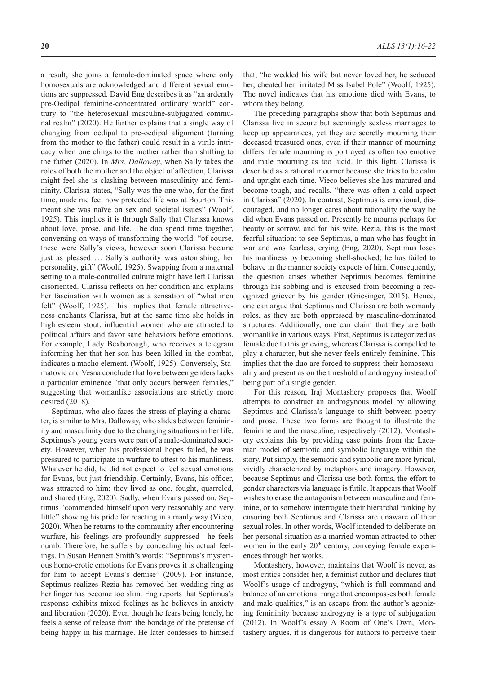a result, she joins a female-dominated space where only homosexuals are acknowledged and different sexual emotions are suppressed. David Eng describes it as "an ardently pre-Oedipal feminine-concentrated ordinary world" contrary to "the heterosexual masculine-subjugated communal realm" (2020). He further explains that a single way of changing from oedipal to pre-oedipal alignment (turning from the mother to the father) could result in a virile intricacy when one clings to the mother rather than shifting to the father (2020). In *Mrs. Dalloway*, when Sally takes the roles of both the mother and the object of affection, Clarissa might feel she is clashing between masculinity and femininity. Clarissa states, "Sally was the one who, for the first time, made me feel how protected life was at Bourton. This meant she was naïve on sex and societal issues" (Woolf, 1925). This implies it is through Sally that Clarissa knows about love, prose, and life. The duo spend time together, conversing on ways of transforming the world. "of course, these were Sally's views, however soon Clarissa became just as pleased … Sally's authority was astonishing, her personality, gift" (Woolf, 1925). Swapping from a maternal setting to a male-controlled culture might have left Clarissa disoriented. Clarissa reflects on her condition and explains her fascination with women as a sensation of "what men felt" (Woolf, 1925). This implies that female attractiveness enchants Clarissa, but at the same time she holds in high esteem stout, influential women who are attracted to political affairs and favor sane behaviors before emotions. For example, Lady Bexborough, who receives a telegram informing her that her son has been killed in the combat, indicates a macho element. (Woolf, 1925). Conversely, Stamatovic and Vesna conclude that love between genders lacks a particular eminence "that only occurs between females," suggesting that womanlike associations are strictly more desired (2018).

Septimus, who also faces the stress of playing a character, is similar to Mrs. Dalloway, who slides between femininity and masculinity due to the changing situations in her life. Septimus's young years were part of a male-dominated society. However, when his professional hopes failed, he was pressured to participate in warfare to attest to his manliness. Whatever he did, he did not expect to feel sexual emotions for Evans, but just friendship. Certainly, Evans, his officer, was attracted to him; they lived as one, fought, quarreled, and shared (Eng, 2020). Sadly, when Evans passed on, Septimus "commended himself upon very reasonably and very little" showing his pride for reacting in a manly way (Vieco, 2020). When he returns to the community after encountering warfare, his feelings are profoundly suppressed—he feels numb. Therefore, he suffers by concealing his actual feelings. In Susan Bennett Smith's words: "Septimus's mysterious homo-erotic emotions for Evans proves it is challenging for him to accept Evans's demise" (2009). For instance, Septimus realizes Rezia has removed her wedding ring as her finger has become too slim. Eng reports that Septimus's response exhibits mixed feelings as he believes in anxiety and liberation (2020). Even though he fears being lonely, he feels a sense of release from the bondage of the pretense of being happy in his marriage. He later confesses to himself that, "he wedded his wife but never loved her, he seduced her, cheated her: irritated Miss Isabel Pole" (Woolf, 1925). The novel indicates that his emotions died with Evans, to whom they belong.

The preceding paragraphs show that both Septimus and Clarissa live in secure but seemingly sexless marriages to keep up appearances, yet they are secretly mourning their deceased treasured ones, even if their manner of mourning differs: female mourning is portrayed as often too emotive and male mourning as too lucid. In this light, Clarissa is described as a rational mourner because she tries to be calm and upright each time. Vieco believes she has matured and become tough, and recalls, "there was often a cold aspect in Clarissa" (2020). In contrast, Septimus is emotional, discouraged, and no longer cares about rationality the way he did when Evans passed on. Presently he mourns perhaps for beauty or sorrow, and for his wife, Rezia, this is the most fearful situation: to see Septimus, a man who has fought in war and was fearless, crying (Eng, 2020). Septimus loses his manliness by becoming shell-shocked; he has failed to behave in the manner society expects of him. Consequently, the question arises whether Septimus becomes feminine through his sobbing and is excused from becoming a recognized griever by his gender (Griesinger, 2015). Hence, one can argue that Septimus and Clarissa are both womanly roles, as they are both oppressed by masculine-dominated structures. Additionally, one can claim that they are both womanlike in various ways. First, Septimus is categorized as female due to this grieving, whereas Clarissa is compelled to play a character, but she never feels entirely feminine. This implies that the duo are forced to suppress their homosexuality and present as on the threshold of androgyny instead of being part of a single gender.

For this reason, Iraj Montashery proposes that Woolf attempts to construct an androgynous model by allowing Septimus and Clarissa's language to shift between poetry and prose. These two forms are thought to illustrate the feminine and the masculine, respectively (2012). Montashery explains this by providing case points from the Lacanian model of semiotic and symbolic language within the story. Put simply, the semiotic and symbolic are more lyrical, vividly characterized by metaphors and imagery. However, because Septimus and Clarissa use both forms, the effort to gender characters via language is futile. It appears that Woolf wishes to erase the antagonism between masculine and feminine, or to somehow interrogate their hierarchal ranking by ensuring both Septimus and Clarissa are unaware of their sexual roles. In other words, Woolf intended to deliberate on her personal situation as a married woman attracted to other women in the early  $20<sup>th</sup>$  century, conveying female experiences through her works.

Montashery, however, maintains that Woolf is never, as most critics consider her, a feminist author and declares that Woolf's usage of androgyny, "which is full command and balance of an emotional range that encompasses both female and male qualities," is an escape from the author's agonizing femininity because androgyny is a type of subjugation (2012). In Woolf's essay A Room of One's Own, Montashery argues, it is dangerous for authors to perceive their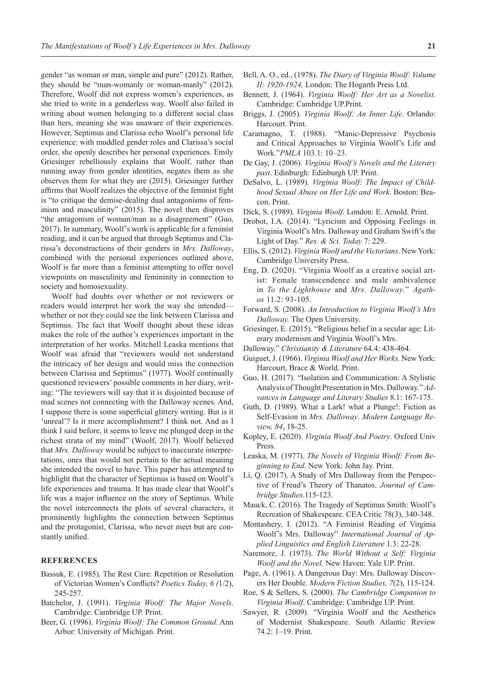gender "as woman or man, simple and pure" (2012). Rather, they should be "man-womanly or woman-manly" (2012). Therefore, Woolf did not express women's experiences, as she tried to write in a genderless way. Woolf also failed in writing about women belonging to a different social class than hers, meaning she was unaware of their experiences. However, Septimus and Clarissa echo Woolf's personal life experience: with muddled gender roles and Clarissa's social order, she openly describes her personal experiences. Emily Griesinger rebelliously explains that Woolf, rather than running away from gender identities, negates them as she observes them for what they are (2015). Griesinger further affirms that Woolf realizes the objective of the feminist fight is "to critique the demise-dealing dual antagonisms of feminism and masculinity" (2015). The novel then disproves "the antagonism of woman/man as a disagreement" (Guo, 2017). In summary, Woolf's work is applicable for a feminist reading, and it can be argued that through Septimus and Clarissa's deconstructions of their genders in *Mrs. Dalloway*, combined with the personal experiences outlined above, Woolf is far more than a feminist attempting to offer novel viewpoints on masculinity and femininity in connection to society and homosexuality.

Woolf had doubts over whether or not reviewers or readers would interpret her work the way she intended whether or not they could see the link between Clarissa and Septimus. The fact that Woolf thought about these ideas makes the role of the author's experiences important in the interpretation of her works. Mitchell Leaska mentions that Woolf was afraid that "reviewers would not understand the intricacy of her design and would miss the connection between Clarissa and Septimus" (1977). Woolf continually questioned reviewers' possible comments in her diary, writing: "The reviewers will say that it is disjointed because of mad scenes not connecting with the Dalloway scenes. And, I suppose there is some superficial glittery writing. But is it 'unreal'? Is it mere accomplishment? I think not. And as I think I said before, it seems to leave me plunged deep in the richest strata of my mind" (Woolf, 2017). Woolf believed that *Mrs. Dalloway* would be subject to inaccurate interpretations, ones that would not pertain to the actual meaning she intended the novel to have. This paper has attempted to highlight that the character of Septimus is based on Woolf's life experiences and trauma. It has made clear that Woolf's life was a major influence on the story of Septimus. While the novel interconnects the plots of several characters, it prominently highlights the connection between Septimus and the protagonist, Clarissa, who never meet but are constantly unified.

## **REFERENCES**

- Bassuk, E. (1985). The Rest Cure: Repetition or Resolution of Victorian Women's Conflicts? *Poetics Today, 6 (*1/2), 245-257.
- Batchelor, J. (1991). *Virginia Woolf: The Major Novels*. Cambridge: Cambridge UP. Print.
- Beer, G. (1996). *Virginia Woolf: The Common Ground*. Ann Arbor: University of Michigan. Print.
- Bell, A. O., ed., (1978). *The Diary of Virginia Woolf: Volume II: 1920-1924,* London: The Hogarth Press Ltd.
- Bennett, J. (1964). *Virginia Woolf: Her Art as a Novelist*. Cambridge: Cambridge UP.Print.
- Briggs, J. (2005). *Virginia Woolf: An Inner Life*. Orlando: Harcourt. Print.
- Caramagno, T. (1988). "Manic-Depressive Psychosis and Critical Approaches to Virginia Woolf's Life and Work."*PMLA* 103.1: 10–23.
- De Gay, J. (2006). *Virginia Woolf's Novels and the Literary past*. Edinburgh: Edinburgh UP. Print.
- DeSalvo, L. (1989). *Virginia Woolf: The Impact of Childhood Sexual Abuse on Her Life and Work*. Boston: Beacon. Print.
- Dick, S. (1989). *Virginia Woolf*. London: E. Arnold. Print.
- Drobot, I.A. (2014). "Lyricism and Opposing Feelings in Virginia Woolf's Mrs. Dalloway and Graham Swift's the Light of Day." *Res. & Sci. Today* 7: 229.
- Ellis, S. (2012). *Virginia Woolf and the Victorians*. NewYork: Cambridge University Press.
- Eng, D. (2020). "Virginia Woolf as a creative social artist: Female transcendence and male ambivalence in *To the Lighthouse* and *Mrs. Dalloway*." *Agathos* 11.2: 93-105.
- Forward, S. (2008). *An Introduction to Virginia Woolf's Mrs Dalloway.* The Open University.
- Griesinger, E. (2015). "Religious belief in a secular age: Literary modernism and Virginia Woolf's Mrs.
- Dalloway." *Christianity & Literature* 64.4: 438-464.
- Guiguet, J. (1966). *Virginia Woolf and Her Works.* New York: Harcourt, Brace & World. Print.
- Guo, H. (2017). "Isolation and Communication: A Stylistic Analysis of Thought Presentation in Mrs. Dalloway." *Advances in Language and Literary Studies* 8.1: 167-175.
- Guth, D. (1989). What a Lark! what a Plunge!: Fiction as Self-Evasion in *Mrs. Dalloway*. *Modern Language Review, 84*, 18-25.
- Kopley, E. (2020). *Virginia Woolf And Poetry*. Oxford Univ Press.
- Leaska, M. (1977). *The Novels of Virginia Woolf: From Beginning to End*. New York: John Jay. Print.
- Li, Q. (2017). A Study of Mrs Dalloway from the Perspective of Freud's Theory of Thanatos. *Journal of Cambridge Studies*.115-123.
- Mauck, C. (2016). The Tragedy of Septimus Smith: Woolf's Recreation of Shakespeare. CEA Critic 78(3), 340-348.
- Montashery, I. (2012). "A Feminist Reading of Virginia Woolf's Mrs. Dalloway" *International Journal of Applied Linguistics and English Literature* 1.3: 22-28.
- Naremore, J. (1973). *The World Without a Self: Virginia Woolf and the Novel.* New Haven: Yale UP. Print.
- Page, A. (1961). A Dangerous Day: Mrs. Dalloway Discovers Her Double. *Modern Fiction Studies, 7*(2), 115-124.
- Roe, S & Sellers, S. (2000). *The Cambridge Companion to Virginia Woolf*. Cambridge: Cambridge UP. Print.
- Sawyer, R. (2009). "Virginia Woolf and the Aesthetics of Modernist Shakespeare. South Atlantic Review 74.2: 1–19. Print.